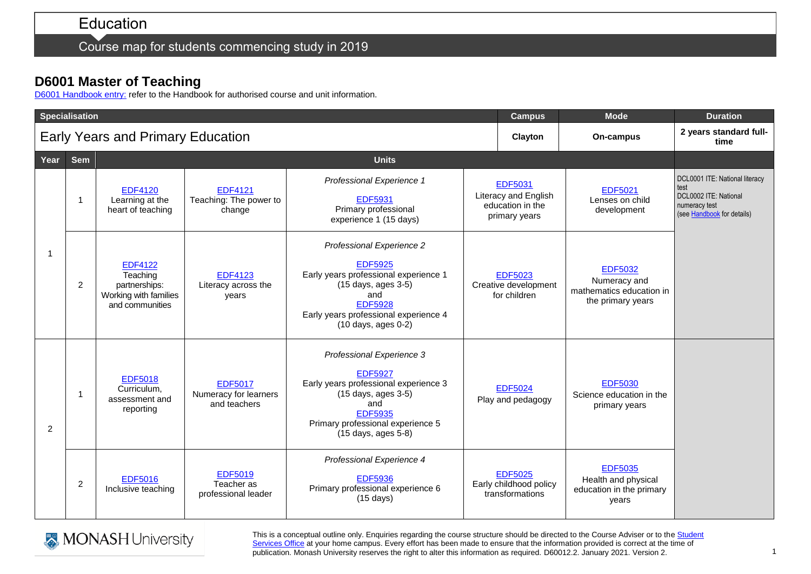Course map for students commencing study in 2019

## **D6001 Master of Teaching**

[D6001 Handbook entry:](http://www.monash.edu.au/pubs/2019handbooks/courses/D6001.html) refer to the Handbook for authorised course and unit information.

| <b>Specialisation</b>                    |            |                                                                                         |                                                         |                                                                                                                                                                                                      |                                                                             | <b>Campus</b>                                               | <b>Mode</b>                                                                     | <b>Duration</b>                                                                                                |
|------------------------------------------|------------|-----------------------------------------------------------------------------------------|---------------------------------------------------------|------------------------------------------------------------------------------------------------------------------------------------------------------------------------------------------------------|-----------------------------------------------------------------------------|-------------------------------------------------------------|---------------------------------------------------------------------------------|----------------------------------------------------------------------------------------------------------------|
| <b>Early Years and Primary Education</b> |            |                                                                                         |                                                         |                                                                                                                                                                                                      |                                                                             | Clayton                                                     | On-campus                                                                       | 2 years standard full-<br>time                                                                                 |
| Year                                     | <b>Sem</b> | <b>Units</b>                                                                            |                                                         |                                                                                                                                                                                                      |                                                                             |                                                             |                                                                                 |                                                                                                                |
| -1                                       | -1         | <b>EDF4120</b><br>Learning at the<br>heart of teaching                                  | <b>EDF4121</b><br>Teaching: The power to<br>change      | Professional Experience 1<br><b>EDF5931</b><br>Primary professional<br>experience 1 (15 days)                                                                                                        | <b>EDF5031</b><br>Literacy and English<br>education in the<br>primary years |                                                             | <b>EDF5021</b><br>Lenses on child<br>development                                | DCL0001 ITE: National literacy<br>test<br>DCL0002 ITE: National<br>numeracy test<br>(see Handbook for details) |
|                                          | 2          | <b>EDF4122</b><br>Teaching<br>partnerships:<br>Working with families<br>and communities | <b>EDF4123</b><br>Literacy across the<br>years          | Professional Experience 2<br><b>EDF5925</b><br>Early years professional experience 1<br>(15 days, ages 3-5)<br>and<br><b>EDF5928</b><br>Early years professional experience 4<br>(10 days, ages 0-2) | <b>EDF5023</b><br>Creative development<br>for children                      |                                                             | <b>EDF5032</b><br>Numeracy and<br>mathematics education in<br>the primary years |                                                                                                                |
| 2                                        | - 1        | <b>EDF5018</b><br>Curriculum,<br>assessment and<br>reporting                            | <b>EDF5017</b><br>Numeracy for learners<br>and teachers | Professional Experience 3<br><b>EDF5927</b><br>Early years professional experience 3<br>(15 days, ages 3-5)<br>and<br><b>EDF5935</b><br>Primary professional experience 5<br>(15 days, ages 5-8)     |                                                                             | <b>EDF5024</b><br>Play and pedagogy                         | <b>EDF5030</b><br>Science education in the<br>primary years                     |                                                                                                                |
|                                          | 2          | <b>EDF5016</b><br>Inclusive teaching                                                    | <b>EDF5019</b><br>Teacher as<br>professional leader     | Professional Experience 4<br><b>EDF5936</b><br>Primary professional experience 6<br>$(15 \text{ days})$                                                                                              |                                                                             | <b>EDF5025</b><br>Early childhood policy<br>transformations | <b>EDF5035</b><br>Health and physical<br>education in the primary<br>years      |                                                                                                                |



This is a conceptual outline only. Enquiries regarding the course structure should be directed to the Course Adviser or to the Student [Services Office](https://www.monash.edu/education/current-students/contact) at your home campus. Every effort has been made to ensure that the information provided is correct at the time of publication. Monash University reserves the right to alter this information as required. D60012.2. January 2021. Version 2.